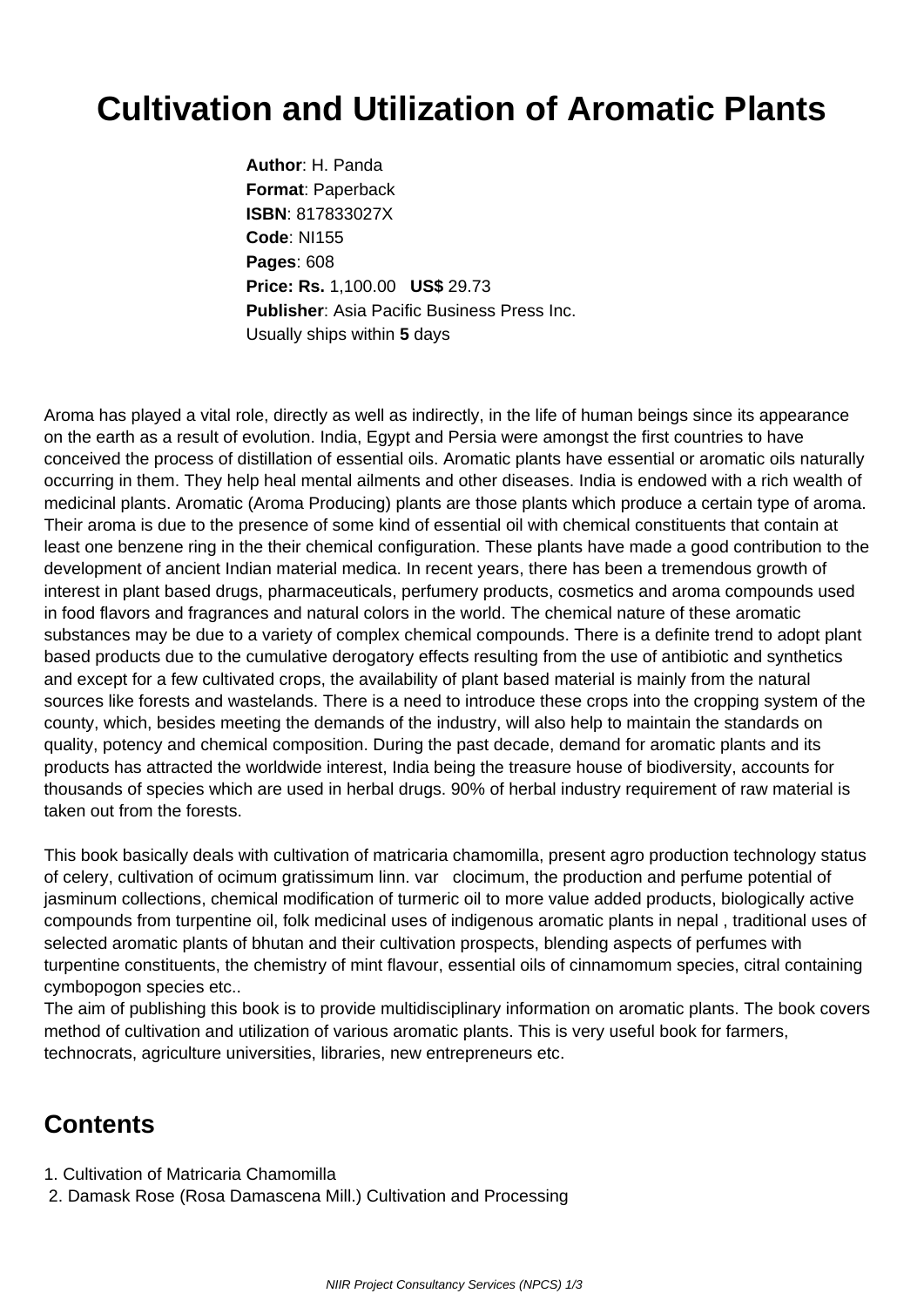## **Cultivation and Utilization of Aromatic Plants**

**Author**: H. Panda **Format**: Paperback **ISBN**: 817833027X **Code**: NI155 **Pages**: 608 **Price: Rs.** 1,100.00 **US\$** 29.73 **Publisher**: Asia Pacific Business Press Inc. Usually ships within **5** days

Aroma has played a vital role, directly as well as indirectly, in the life of human beings since its appearance on the earth as a result of evolution. India, Egypt and Persia were amongst the first countries to have conceived the process of distillation of essential oils. Aromatic plants have essential or aromatic oils naturally occurring in them. They help heal mental ailments and other diseases. India is endowed with a rich wealth of medicinal plants. Aromatic (Aroma Producing) plants are those plants which produce a certain type of aroma. Their aroma is due to the presence of some kind of essential oil with chemical constituents that contain at least one benzene ring in the their chemical configuration. These plants have made a good contribution to the development of ancient Indian material medica. In recent years, there has been a tremendous growth of interest in plant based drugs, pharmaceuticals, perfumery products, cosmetics and aroma compounds used in food flavors and fragrances and natural colors in the world. The chemical nature of these aromatic substances may be due to a variety of complex chemical compounds. There is a definite trend to adopt plant based products due to the cumulative derogatory effects resulting from the use of antibiotic and synthetics and except for a few cultivated crops, the availability of plant based material is mainly from the natural sources like forests and wastelands. There is a need to introduce these crops into the cropping system of the county, which, besides meeting the demands of the industry, will also help to maintain the standards on quality, potency and chemical composition. During the past decade, demand for aromatic plants and its products has attracted the worldwide interest, India being the treasure house of biodiversity, accounts for thousands of species which are used in herbal drugs. 90% of herbal industry requirement of raw material is taken out from the forests.

This book basically deals with cultivation of matricaria chamomilla, present agro production technology status of celery, cultivation of ocimum gratissimum linn. var clocimum, the production and perfume potential of jasminum collections, chemical modification of turmeric oil to more value added products, biologically active compounds from turpentine oil, folk medicinal uses of indigenous aromatic plants in nepal , traditional uses of selected aromatic plants of bhutan and their cultivation prospects, blending aspects of perfumes with turpentine constituents, the chemistry of mint flavour, essential oils of cinnamomum species, citral containing cymbopogon species etc..

The aim of publishing this book is to provide multidisciplinary information on aromatic plants. The book covers method of cultivation and utilization of various aromatic plants. This is very useful book for farmers, technocrats, agriculture universities, libraries, new entrepreneurs etc.

## **Contents**

- 1. Cultivation of Matricaria Chamomilla
- 2. Damask Rose (Rosa Damascena Mill.) Cultivation and Processing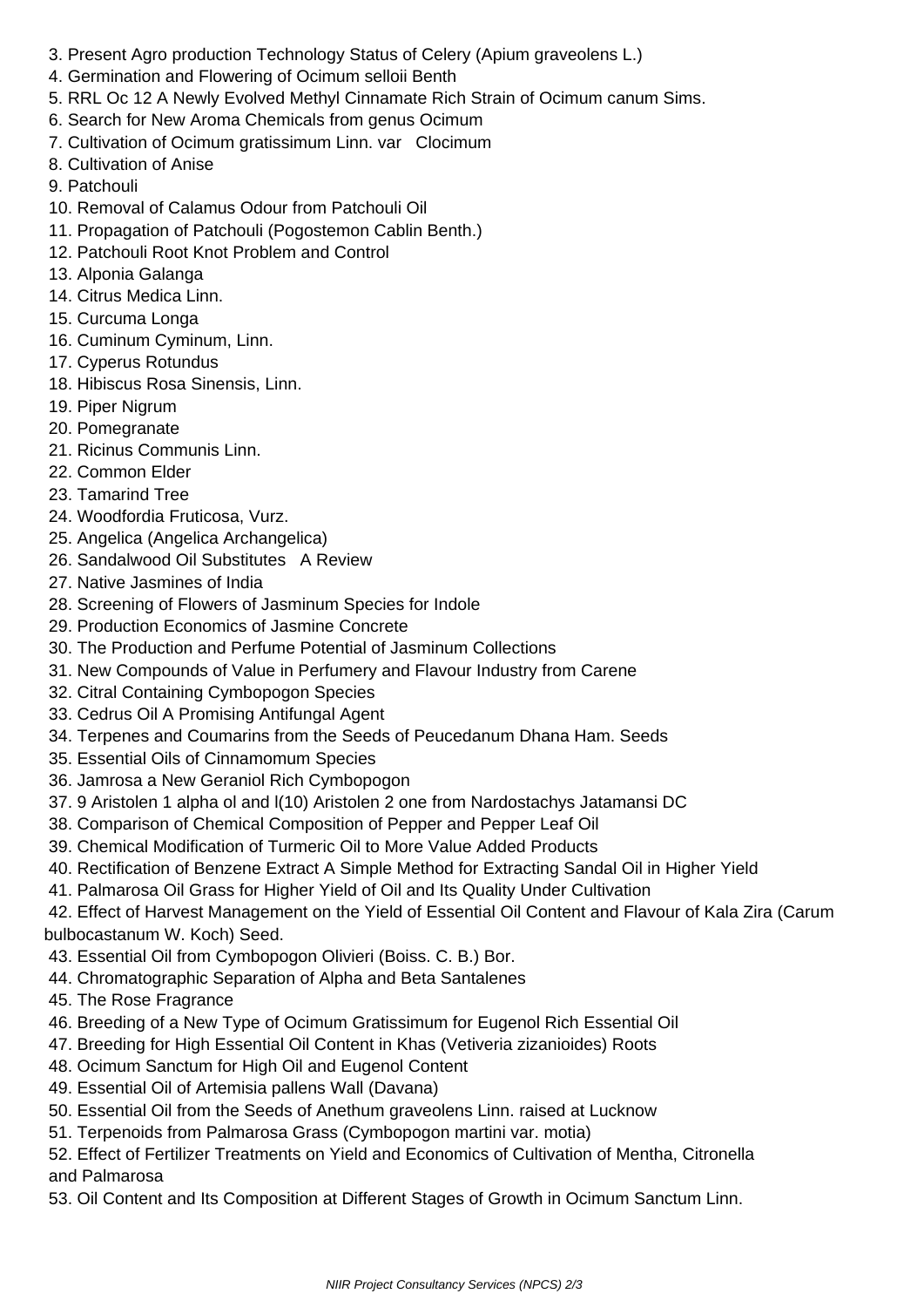- 3. Present Agro production Technology Status of Celery (Apium graveolens L.)
- 4. Germination and Flowering of Ocimum selloii Benth
- 5. RRL Oc 12 A Newly Evolved Methyl Cinnamate Rich Strain of Ocimum canum Sims.
- 6. Search for New Aroma Chemicals from genus Ocimum
- 7. Cultivation of Ocimum gratissimum Linn. var Clocimum
- 8. Cultivation of Anise
- 9. Patchouli
- 10. Removal of Calamus Odour from Patchouli Oil
- 11. Propagation of Patchouli (Pogostemon Cablin Benth.)
- 12. Patchouli Root Knot Problem and Control
- 13. Alponia Galanga
- 14. Citrus Medica Linn.
- 15. Curcuma Longa
- 16. Cuminum Cyminum, Linn.
- 17. Cyperus Rotundus
- 18. Hibiscus Rosa Sinensis, Linn.
- 19. Piper Nigrum
- 20. Pomegranate
- 21. Ricinus Communis Linn.
- 22. Common Elder
- 23. Tamarind Tree
- 24. Woodfordia Fruticosa, Vurz.
- 25. Angelica (Angelica Archangelica)
- 26. Sandalwood Oil Substitutes A Review
- 27. Native Jasmines of India
- 28. Screening of Flowers of Jasminum Species for Indole
- 29. Production Economics of Jasmine Concrete
- 30. The Production and Perfume Potential of Jasminum Collections
- 31. New Compounds of Value in Perfumery and Flavour Industry from Carene
- 32. Citral Containing Cymbopogon Species
- 33. Cedrus Oil A Promising Antifungal Agent
- 34. Terpenes and Coumarins from the Seeds of Peucedanum Dhana Ham. Seeds
- 35. Essential Oils of Cinnamomum Species
- 36. Jamrosa a New Geraniol Rich Cymbopogon
- 37. 9 Aristolen 1 alpha ol and l(10) Aristolen 2 one from Nardostachys Jatamansi DC
- 38. Comparison of Chemical Composition of Pepper and Pepper Leaf Oil
- 39. Chemical Modification of Turmeric Oil to More Value Added Products
- 40. Rectification of Benzene Extract A Simple Method for Extracting Sandal Oil in Higher Yield
- 41. Palmarosa Oil Grass for Higher Yield of Oil and Its Quality Under Cultivation

 42. Effect of Harvest Management on the Yield of Essential Oil Content and Flavour of Kala Zira (Carum bulbocastanum W. Koch) Seed.

- 43. Essential Oil from Cymbopogon Olivieri (Boiss. C. B.) Bor.
- 44. Chromatographic Separation of Alpha and Beta Santalenes
- 45. The Rose Fragrance
- 46. Breeding of a New Type of Ocimum Gratissimum for Eugenol Rich Essential Oil
- 47. Breeding for High Essential Oil Content in Khas (Vetiveria zizanioides) Roots
- 48. Ocimum Sanctum for High Oil and Eugenol Content
- 49. Essential Oil of Artemisia pallens Wall (Davana)
- 50. Essential Oil from the Seeds of Anethum graveolens Linn. raised at Lucknow
- 51. Terpenoids from Palmarosa Grass (Cymbopogon martini var. motia)
- 52. Effect of Fertilizer Treatments on Yield and Economics of Cultivation of Mentha, Citronella and Palmarosa
- 53. Oil Content and Its Composition at Different Stages of Growth in Ocimum Sanctum Linn.